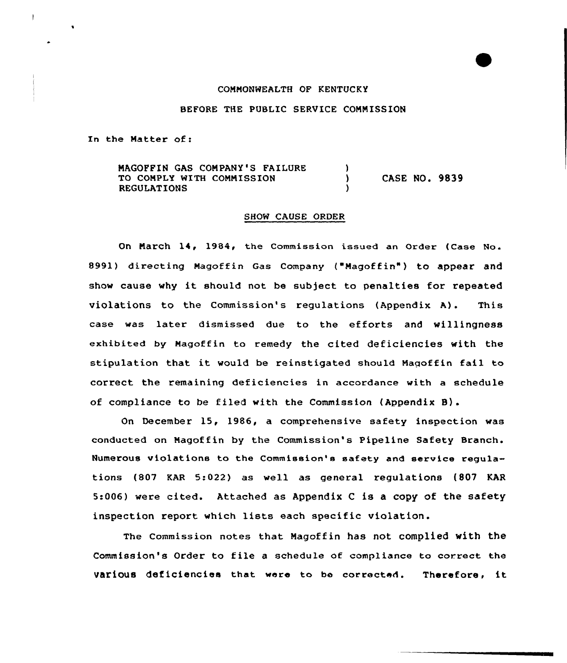#### COMMONWEALTH OF KENTUCKY

#### BEFORE THE PUBLIC SERVICE COMMISSION

In the Matter of:

MAGOFFIN GAS COMPANY'S FAILURE  $\lambda$ TO COMPLY WITH COMMISSION CASE NO. 9839  $\lambda$ REGULATIONS  $\lambda$ 

#### SHOW CAUSE ORDER

On March 14, 1984, the Commission issued an Order (Case No. 8991) directing Magoffin Gas Company ("Magoffin") to appear and show cause why it should not be subject to penalties for repeated violations to the Commission's regulations (Appendix A). This case was later dismissed due to the efforts and willingness exhibited by Magoffin to remedy the cited deficiencies with the stipulation that it would be reinstigated should Naqoffin fail to correct the remaining deficiencies in accordance with a schedule of compliance to be filed with the Commission (Appendix 8).

On December 15, 1986, a comprehensive safety inspection was conducted on Magoffin by the Commission's Pipeline Safety Branch. Numerous violations to the Commission's safety and service regulations (807 KAR 5:022) as well as general regulations {807 KAR 5:006) were cited. Attached as Appendix <sup>C</sup> is a copy of the safety inspection report which lists each specific violation.

The Commission notes that Magoffin has not complied with the Commission's Order to file <sup>a</sup> schedule of compliance to correct the various deficiencies that were to be corrected. Therefore, it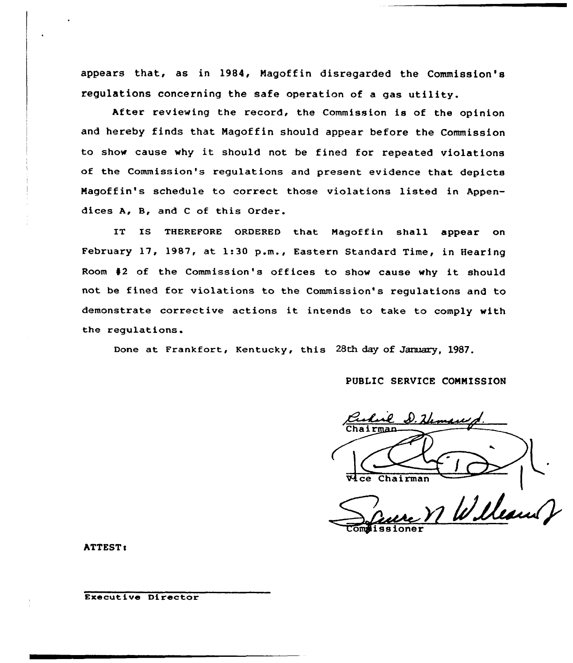appears that, as in 1984, Nagoffin disregarded the Commission's regulations concerning the safe operation of a gas utility.

After reviewing the record, the Commission is of the opinion and hereby finds that Nagoffin should appear before the Commission to show cause why it should not be fined for repeated violations of the Commission's regulations and present evidence that depicts Nagoffin's schedule to correct those violations listed in Appendices A, B, and <sup>C</sup> of this Order.

IT IS THEREFORE ORDERED that Magoffin shall appear on February 17, 1987, at 1:30 p.m., Eastern Standard Time, in Hearing Room <sup>42</sup> of the Commission's offices to show cause why it should not be fined for violations to the Commission's regulations and to demonstrate corrective actions it intends to take to comply with the regulations.

Done at Frankfort, Kentucky, this 28th day of January, 1987.

PUBLIC SERVICE CONNISSION

Vice Chairman

William & ssioner

ATTEST:

Executive Director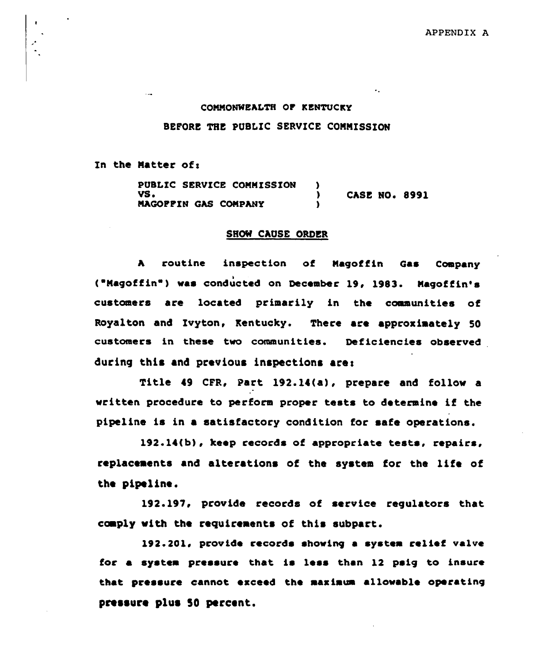#### CONNONWEALTH OF KENTUCKY

## BEFORE THE PUBLIC SERVICE CONNISSION

In the Matter of:

PUBLIC SERVICE CONNISSION )  $\overline{y}$   $\overline{y}$   $\overline{y}$   $\overline{y}$   $\overline{y}$   $\overline{y}$   $\overline{y}$   $\overline{y}$   $\overline{y}$   $\overline{y}$   $\overline{y}$   $\overline{y}$   $\overline{y}$   $\overline{y}$   $\overline{y}$   $\overline{y}$   $\overline{y}$   $\overline{y}$   $\overline{y}$   $\overline{y}$   $\overline{y}$   $\overline{y}$   $\overline{y}$   $\overline{y}$   $\overline{$ NAGOFFIN GAS CONPANY )

#### SHOW CAUSE ORDER

<sup>A</sup> routine inspection of Naqoffin Gas Company ("Magoffin") was conducted on December 19, 1983. Magoffin's customers are located primarily in the communities of Royalton and Ivyton, Kentucky. There are approximately 50 customers in these two communities. Deficiencies observed during this and previous inspections ares

Title i9 CFR, Part 192.14(a), prepare and follow a written procedure to perform proper tests to determine if the pipeline is in a satisfactory condition for safe operations.

192.14(b), keep records of appropriate tests, repairs, replacements and alterations of the system for the life of the pipeline.

192.197, provide records of service regulators that ccmply with the requirements of this subpart.

192.201< provide records showing a system relief valve for a system pressure that is less than 12 paig to insure that pressure cannot exceed the maximum allowable operating pressure plus 50 percent.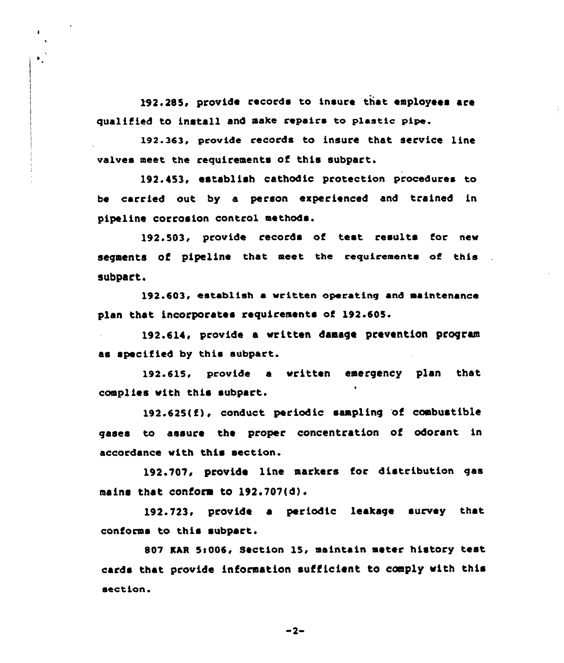192.285, provide records to insure that employees are qualified to install and sake repairs to plastic pipe.

 $\mathbf{I}$ 

 $\mathbf{v}_1$ 

192.363, provide records to insure that service line valves meet the requirements of this subpart,

192.453, establish cathodic protection procedures to be carried out by a person experienced and trained in pipeline corrosion control methods.

192.503, provide records of test results for new segments of pipeline that meet the requirements of this subpart.

192.603, establish a written operating and maintenance plan that incorporates requirements of 192.605.

192.614, provide a written daaage prevention progren as specified by this subpart.

192.615, provide a written emergency plan that complies with this subpart.

 $192.625(f)$ , conduct periodic sampling of combustible gases to assure the proper concentration of odorant in accordance with this section.

192.701, provide line markers for distribution gas mains that conform to 192.707(d).

192.723, provide a periodic leakage survey that conforms to this subpart.

807 KAR 5:006, Section 15, maintain meter history test cards that provide information sufficient to comply with this section.

 $-2-$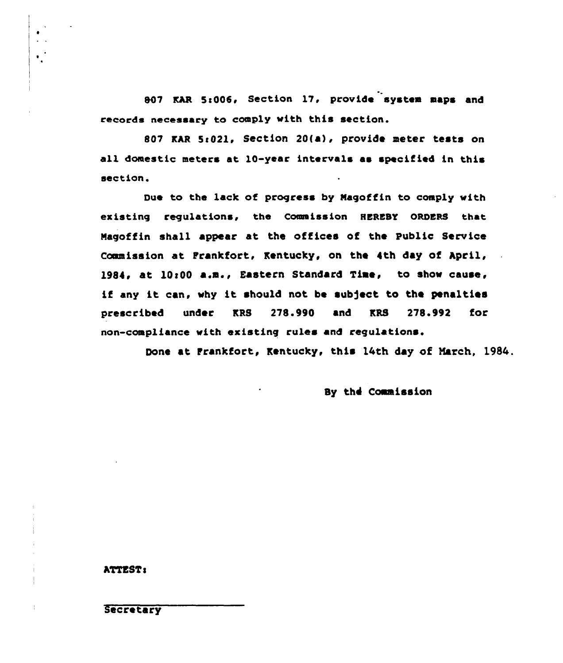807 KAR 5:006, Section 17, provide system maps and records necessary to comply with this section.

807 KAR 5:021, Section 20(a), provide meter tests on all domestic meters at 10-year intervals as specified in this section.

Due to the lack of progress by Nagoffin to coaply with existing regulations, the Commission HEREBY ORDERS that Nagoffin shall appear at the offices of the Public Service Commission at Frankfort, Kentucky, on the 4th day of April, 1984, at 10:00 a.m., Eastern Standard Time, to show cause, if any it can, why it should not be subject to the penalties prescribed under KRS 278.990 and KRS 278.992 for non-compliance with existing rules and regulations.

Done at frankfort, Kentucky, this l4th day of March, 1984.

By the Commission

## ATTEST:

 $\frac{1}{4}$ 

**Secretary**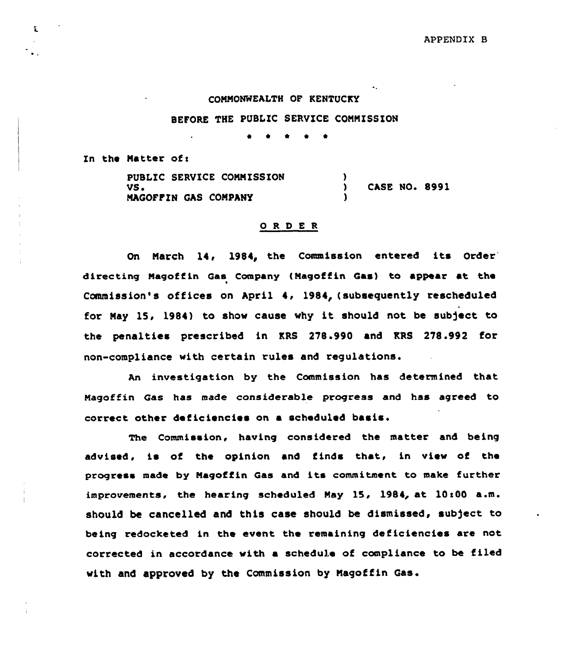#### COMMONWEALTH OF KENTUCKY

#### BEFORE THE PUBLIC SERVICE COMMISSION

0 \* <sup>~</sup>

In the Matter of:

t

PUBLIC SERVICE COMMISSION VS <sup>~</sup> MAQOFFXN QAS COMPANY  $\frac{1}{2}$ CASE NO. 8991 )

#### 0 R <sup>D</sup> E <sup>R</sup>

On March 14, 1984, the Commission entered its Order directing Magoffin Gas Company (Magoffin Gas) to appear at the Commission's offices on April 4, 1984, (subsequently rescheduled for May 15, 1984) to show cause why it should not be subject to the penalties prescribed in KRS 278.990 and KRS 278.992 for non-compliance with certain rules and regulations.

An investigation by the Commission has determined that Magoffin Gas has made considerable progress and has agreed to correct other deficiencies on a scheduled basis.

The Commission, having considered the matter and being advised, is of the opinion and finds that, in view of the progress made by Magoffin Gas and its commitment to make further improvements, the hearing scheduled May 15, 1984, at 10:00 a.m. should be cancelled and this case should be dismissed, sub)ect to being redocketed in the event the remaining deficiencies are not corrected in accordance with a schedule of compliance to be filed with and approved by the Commission by Magoffin Gas.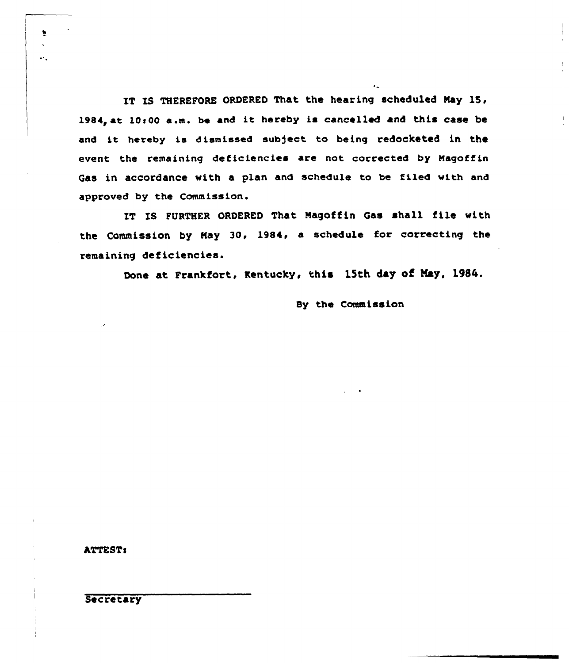IT IS THEREFORE ORDERED That the hearing scheduled May 15, 1984, at 10:00 a.m. be and it hereby is cancelled and this case be and it hereby is dismissed subject to being redocketed in the event the remaining deficiencies are not corrected by Magoffin Gas in accordance with a plan and schedule to be filed with and approved by the Commission.

IT IS FURTHER ORDERED That Nagoffin Gas shall file with the Commission by May 30, 1984, a schedule for correcting the remaining deficiencies.

Done at Frankfort, Kentucky, this 15th day of May, 1984.

### Sy the Commission

ATTESTs

 $\bullet$ 

 $\ddot{\phantom{a}}$ 

**Secretary**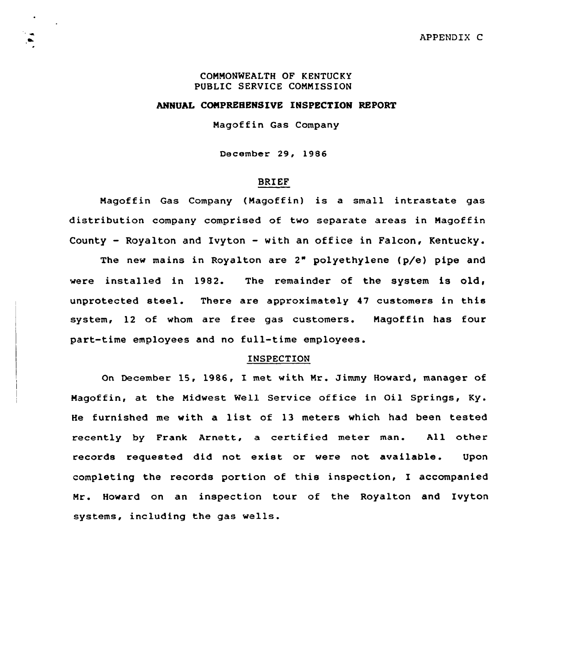### COMMONWEALTH OF KENTUCKY PUBLIC SERVICE COMMISSION

#### ANNUAL COMPREHENSIVE INSPECTION REPORT

Magoffin Gas Company

December 29, 1986

## BRIEF

Magoffin Gas Company (Magoffin) is <sup>a</sup> small intrastate gas distribution company comprised of two separate areas in Magoffin County — Royalton and Ivyton - with an office in Falcon, Kentucky. The new mains in Royalton are 2" polyethylene (p/e) pipe and were installed in 1982. The remainder of the system is old, unprotected steel. There are approximately <sup>47</sup> customers in this

system, 12 of whom are free gas customers. Magoffin has four part-time employees and no full-time employees.

#### INSPECTION

On December 15, 1986, I met with Mr. Jimmy Howard, manager of Magcffin, at the Midwest Well Service office in Oil Springs, Ky. He furnished me with <sup>a</sup> list of <sup>13</sup> meters which had been tested recently by Frank Arnett, a certitied meter man. All other records requested did not exist or were not available. Upon completing the records portion of this inspection, I accompanied Mr. Howard on an inspection tour of the Royalton and Ivyton systems, including the gas wells.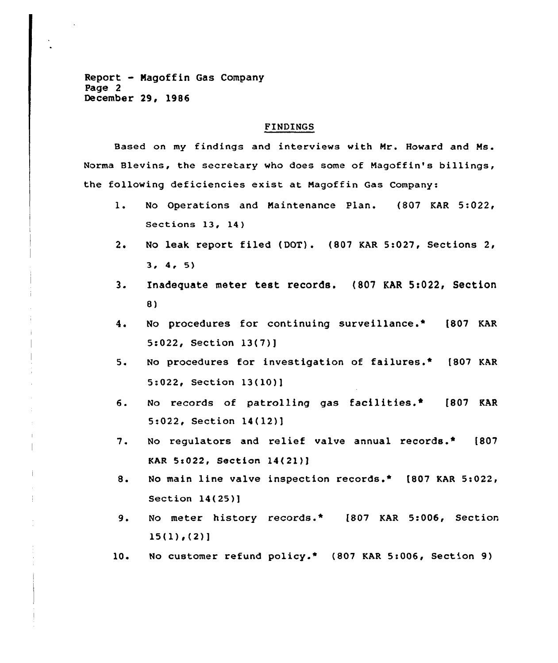Report - Magoffin Gas Company Page 2 December 29, 1986

#### FINDINGS

Based on my findings and interviews with Mr. Howard and Ms. Norma Blevins, the secretary who does some of Magoffin's billings, the following deficiencies exist at Magoffin Gas Company:

- 1. No Operations and Maintenance Plan. (807 KAR 5:022, Sections 13, 14)
- 2. No leak report filed (DOT). (807 KAR 5:027, Sections 2, 3, 4, 5)
- 3. Inadequate meter test records. (807 KAR 5:022, Section 8)
- 4. No procedures for continuing surveillance.\* (807 KAR 5:022, Section 13(7)]
- 5. No procedures for investigation of failures.» (807 KAR Section 13(10)]
- $6.$ No records of patrolling gas facilities.\* [807 KAR 5:022, Section 14{12)]
- 7. No regulators and relief valve annual records.» [807 KAR 5s022, Section 14(21)]
- $8.$ No main line valve inspection records.» [807 KAR 5:022, Section 14(25)]
- 9. No meter history records.\* [807 KAR 5:006, Section  $15(1)$ ,  $(2)$ ]
- 10 No customer refund policy.\* (807 KAR 5:006, Section 9)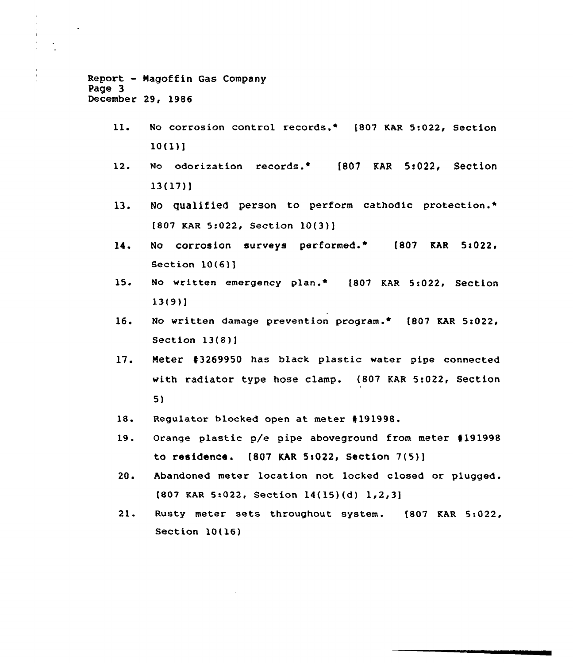```
Report - Nagoffin Gas Company
Page 3
December 29, 1986
```
- 11. No corrosion control records.\* [807 KAR 5:022, Section 10(1)]
- 12. No odorization records.\* [807 KAR 5:022, Section 13(17)]
- 13. No qualified person to perform cathodic protection.\*  $[807$  KAR 5:022, Section  $10(3)$ ]
- 14. No corrosion surveys performed.\* (807 KAR Section  $10(6)$ ]
- $15.$ No written emergency plan.\* [807 KAR 5:022, Section 13(9)]
- 16. No written damage prevention program.\* [807 KAR 5:022, Section 13(8)]
- 17. Meter #3269950 has black plastic water pipe connected with radiator type hose clamp. (807 KAR 5:022, Section  $5<sub>1</sub>$
- 18 Regulator blocked open at meter 4191998.
- '9. Orange plastic p/e pipe aboveground from meter 4191998 to residence. (807 KAR 5:022, Section 7(5)]
- 20. Abandoned meter location not locked closed or plugged.  $[807$  KAR 5:022, Section  $14(15)(d)$  1,2,3]
- 21. Rusty meter sets throughout system. [807 KAR 5:022, Section 10(16)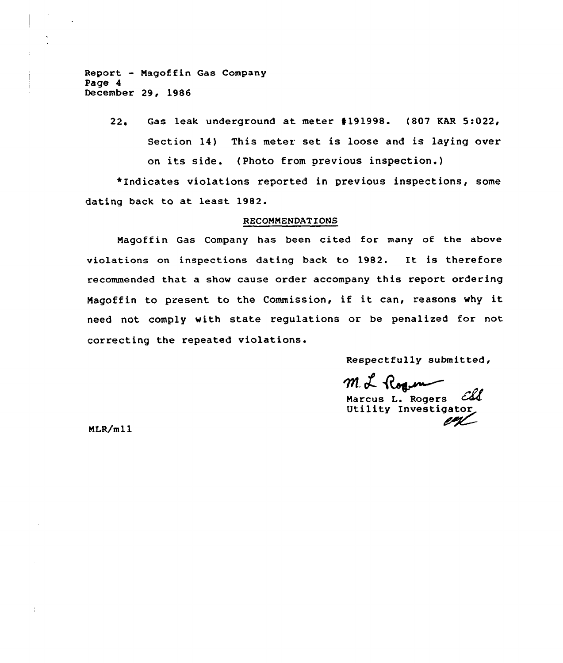Report — Magoffin Gas Company Page 4 December 29, 1986

> 22. Gas leak underground at meter #191998. (807 KAR 5:022, Section 14) This meter set is loose and is laying over on its side. (Photo from previous inspection.)

\*Indicates violations reported in previous inspections, some dating back to at least 1982.

#### RECOMMENDATIONS

Magoffin Gas Company has been cited for many of the above violations on inspections dating back to 1982. It is therefore recommended that a show cause order accompany this report ordering Magoffin to present to the Commission, if it can, reasons why it need not comply with state regulations or be penalized for not correcting the repeated violations.

Respectfully submitted,

m. L. Roque

Marcus L. Rogers *Coll*<br>Utility Investigator

MLR/m11

 $\frac{1}{4}$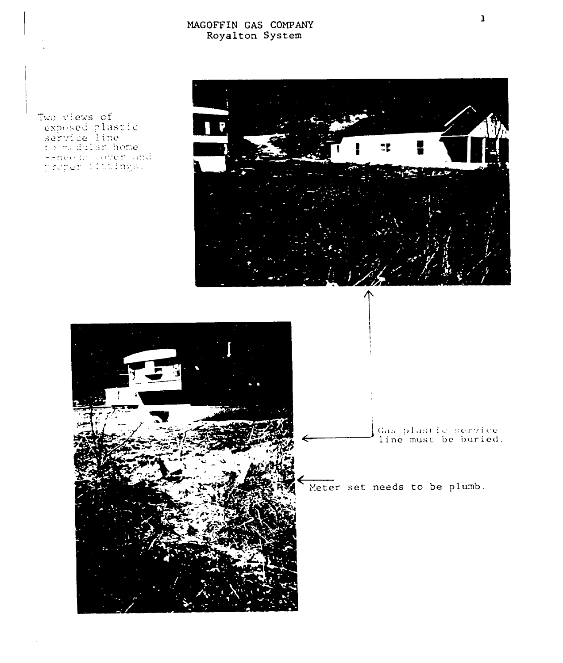# MAGOFF IN GAS COMPANY Royalton System

Two views of exposed plastic<br>service line<br>to madular home --needs cover and<br>proper fittings.

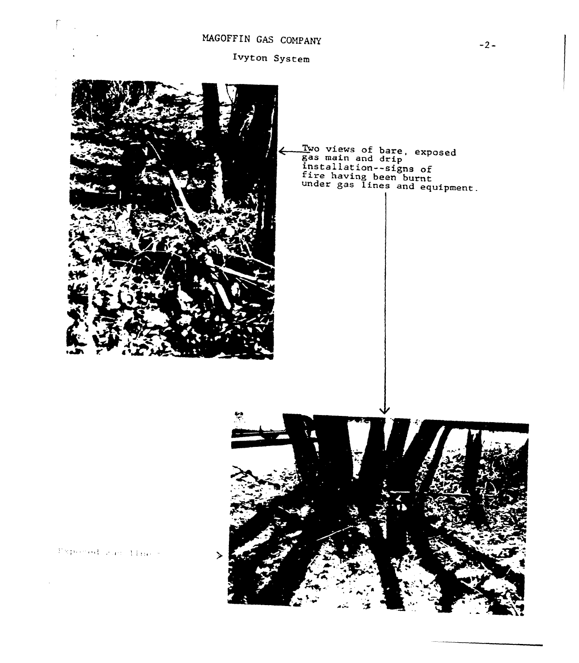# MAGOFFIN GAS COMPANY

Ivyton System



Two views of bare, exposed gas main and drip installation--signs of fire having been burnt under gas lines and equipment.

Pepered gar times.

 $\sqrt{2}$  $\mathbb{R}^2$ 

 $\bar{1}$ 

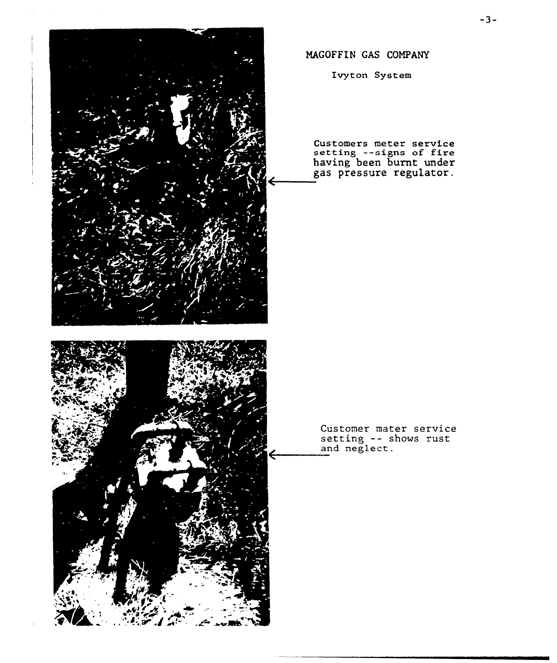

MAGOFFIN GAS COMPANY

Ivyton System

Customers meter service<br>setting --signs of fire having been burnt unde gas pressure regulator.

Customer mater service <code>Customer mater servi</code><br>setting -- shows rus and neglect.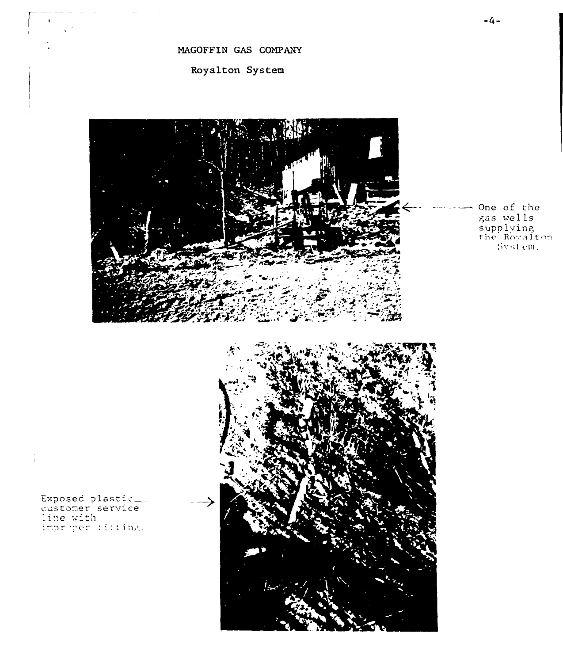MAGOFFIN GAS COMPANY

Royalton System



One of the gas «el ls  ${\tt supp}$ lyin rhe Royalton  $8$ ystem.

 $Exposed$  plasti

and the control and the

 $\mathbb{R}^2$ 

eustomer service<br>line with